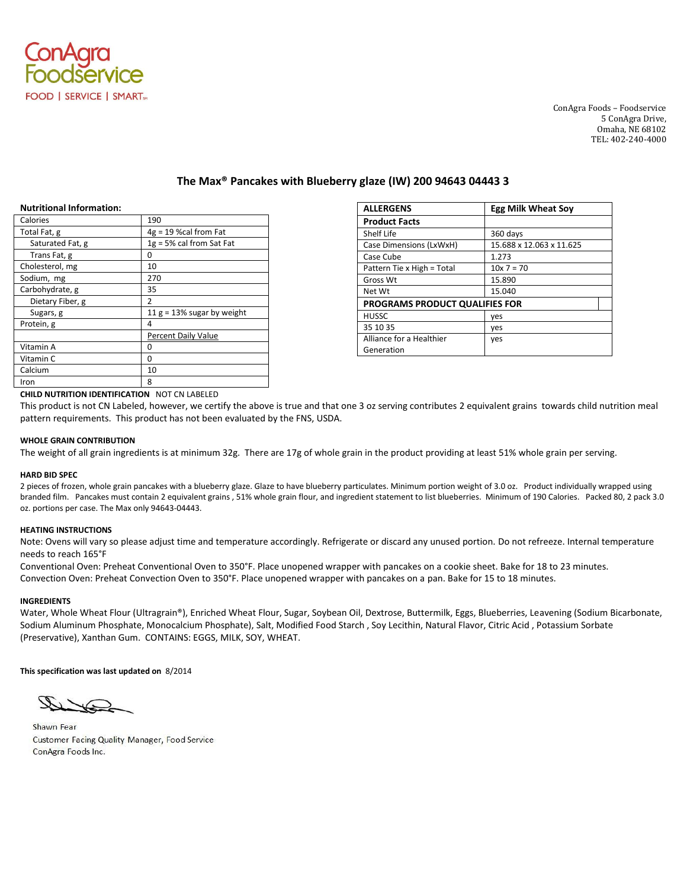

ConAgra Foods – Foodservice 5 ConAgra Drive, Omaha, NE 68102 TEL: 402-240-4000

# **The Max® Pancakes with Blueberry glaze (IW) 200 94643 04443 3**

### **Nutritional Information:**

| Calories         | 190                           |
|------------------|-------------------------------|
| Total Fat, g     | $4g = 19$ %cal from Fat       |
| Saturated Fat, g | $1g = 5%$ cal from Sat Fat    |
| Trans Fat, g     | 0                             |
| Cholesterol, mg  | 10                            |
| Sodium, mg       | 270                           |
| Carbohydrate, g  | 35                            |
| Dietary Fiber, g | 2                             |
| Sugars, g        | 11 $g = 13\%$ sugar by weight |
| Protein, g       | 4                             |
|                  | <b>Percent Daily Value</b>    |
| Vitamin A        | 0                             |
| Vitamin C        | 0                             |
| Calcium          | 10                            |
| Iron             | 8                             |

| <b>ALLERGENS</b>                      | <b>Egg Milk Wheat Sov</b> |
|---------------------------------------|---------------------------|
| <b>Product Facts</b>                  |                           |
| Shelf Life                            | 360 days                  |
| Case Dimensions (LxWxH)               | 15.688 x 12.063 x 11.625  |
| Case Cube                             | 1.273                     |
| Pattern Tie x High = Total            | $10x$ 7 = 70              |
| Gross Wt                              | 15.890                    |
| Net Wt                                | 15.040                    |
| <b>PROGRAMS PRODUCT QUALIFIES FOR</b> |                           |
| <b>HUSSC</b>                          | yes                       |
| 35 10 35                              | yes                       |
| Alliance for a Healthier              | yes                       |
| Generation                            |                           |

## **CHILD NUTRITION IDENTIFICATION** NOT CN LABELED

This product is not CN Labeled, however, we certify the above is true and that one 3 oz serving contributes 2 equivalent grains towards child nutrition meal pattern requirements. This product has not been evaluated by the FNS, USDA.

#### **WHOLE GRAIN CONTRIBUTION**

The weight of all grain ingredients is at minimum 32g. There are 17g of whole grain in the product providing at least 51% whole grain per serving.

#### **HARD BID SPEC**

2 pieces of frozen, whole grain pancakes with a blueberry glaze. Glaze to have blueberry particulates. Minimum portion weight of 3.0 oz. Product individually wrapped using branded film. Pancakes must contain 2 equivalent grains , 51% whole grain flour, and ingredient statement to list blueberries. Minimum of 190 Calories. Packed 80, 2 pack 3.0 oz. portions per case. The Max only 94643-04443.

#### **HEATING INSTRUCTIONS**

Note: Ovens will vary so please adjust time and temperature accordingly. Refrigerate or discard any unused portion. Do not refreeze. Internal temperature needs to reach 165°F

Conventional Oven: Preheat Conventional Oven to 350°F. Place unopened wrapper with pancakes on a cookie sheet. Bake for 18 to 23 minutes. Convection Oven: Preheat Convection Oven to 350°F. Place unopened wrapper with pancakes on a pan. Bake for 15 to 18 minutes.

#### **INGREDIENTS**

Water, Whole Wheat Flour (Ultragrain®), Enriched Wheat Flour, Sugar, Soybean Oil, Dextrose, Buttermilk, Eggs, Blueberries, Leavening (Sodium Bicarbonate, Sodium Aluminum Phosphate, Monocalcium Phosphate), Salt, Modified Food Starch , Soy Lecithin, Natural Flavor, Citric Acid , Potassium Sorbate (Preservative), Xanthan Gum. CONTAINS: EGGS, MILK, SOY, WHEAT.

**This specification was last updated on** 8/2014

Shawn Fear Customer Facing Quality Manager, Food Service ConAgra Foods Inc.